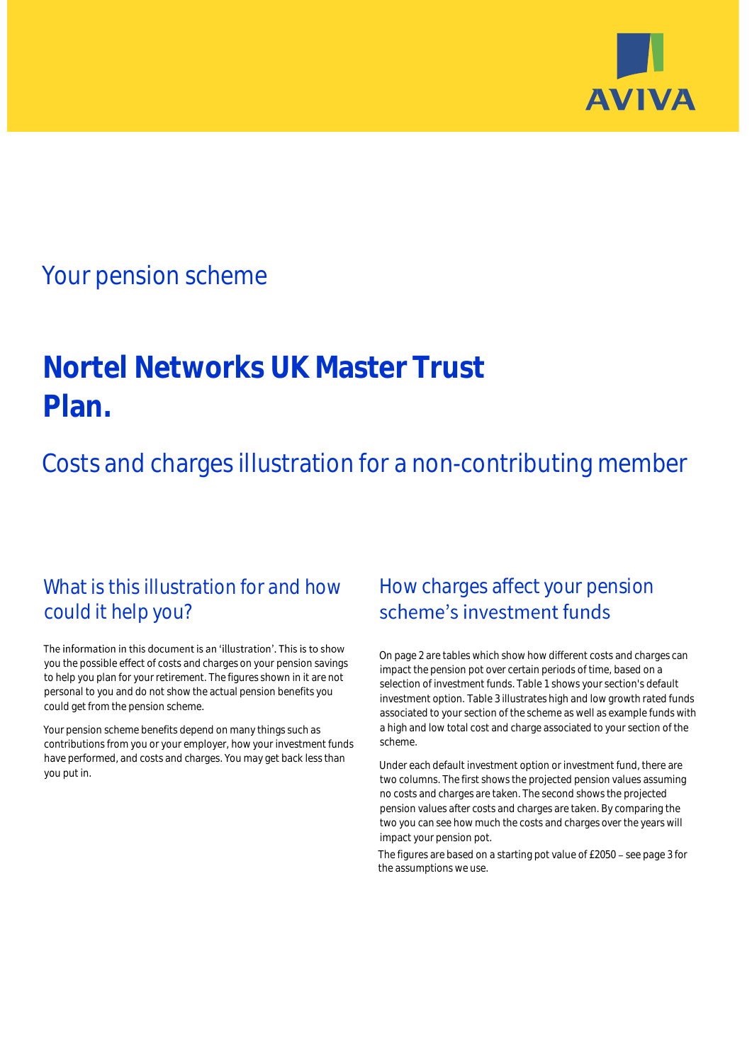

# Your pension scheme

# **Nortel Networks UK Master Trust Plan.**

Costs and charges illustration for a non-contributing member

# What is this illustration for and how could it help you?

### The information in this document is an 'illustration'. This is to show you the possible effect of costs and charges on your pension savings to help you plan for your retirement. The figures shown in it are not personal to you and do not show the actual pension benefits you could get from the pension scheme.

Your pension scheme benefits depend on many things such as contributions from you or your employer, how your investment funds have performed, and costs and charges. You may get back less than you put in.

# How charges affect your pension scheme's investment funds

On page 2 are tables which show how different costs and charges can impact the pension pot over certain periods of time, based on a selection of investment funds. Table 1 shows your section's default investment option. Table 3 illustrates high and low growth rated funds associated to your section of the scheme as well as example funds with a high and low total cost and charge associated to your section of the scheme.

Under each default investment option or investment fund, there are two columns. The first shows the projected pension values assuming no costs and charges are taken. The second shows the projected pension values after costs and charges are taken. By comparing the two you can see how much the costs and charges over the years will impact your pension pot.

The figures are based on a starting pot value of £2050 - see page 3 for the assumptions we use.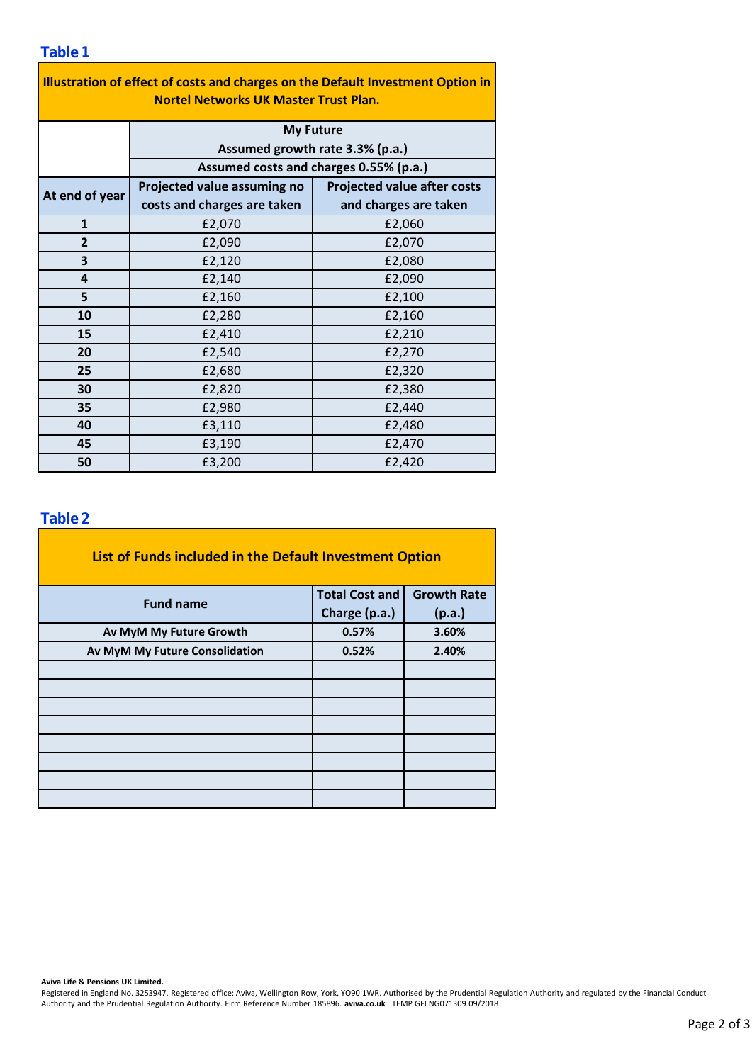### **Table 1**

| Illustration of effect of costs and charges on the Default Investment Option in |                                        |                                    |  |  |  |  |  |  |  |  |
|---------------------------------------------------------------------------------|----------------------------------------|------------------------------------|--|--|--|--|--|--|--|--|
| <b>Nortel Networks UK Master Trust Plan.</b>                                    |                                        |                                    |  |  |  |  |  |  |  |  |
|                                                                                 | <b>My Future</b>                       |                                    |  |  |  |  |  |  |  |  |
|                                                                                 | Assumed growth rate 3.3% (p.a.)        |                                    |  |  |  |  |  |  |  |  |
|                                                                                 | Assumed costs and charges 0.55% (p.a.) |                                    |  |  |  |  |  |  |  |  |
| At end of year                                                                  | Projected value assuming no            | <b>Projected value after costs</b> |  |  |  |  |  |  |  |  |
|                                                                                 | costs and charges are taken            | and charges are taken              |  |  |  |  |  |  |  |  |
| $\mathbf{1}$                                                                    | £2,070                                 | £2,060                             |  |  |  |  |  |  |  |  |
| 2                                                                               | £2,090                                 | £2,070                             |  |  |  |  |  |  |  |  |
| 3                                                                               | £2,120                                 | £2,080                             |  |  |  |  |  |  |  |  |
| 4                                                                               | £2,140                                 | £2,090                             |  |  |  |  |  |  |  |  |
| 5                                                                               | £2,160                                 | £2,100                             |  |  |  |  |  |  |  |  |
| 10                                                                              | £2,280                                 | £2,160                             |  |  |  |  |  |  |  |  |
| 15                                                                              | £2,410                                 | £2,210                             |  |  |  |  |  |  |  |  |
| 20                                                                              | £2,540                                 | £2,270                             |  |  |  |  |  |  |  |  |
| 25                                                                              | £2,680                                 | £2,320                             |  |  |  |  |  |  |  |  |
| 30                                                                              | £2,820                                 | £2,380                             |  |  |  |  |  |  |  |  |
| 35                                                                              | £2,980                                 | £2,440                             |  |  |  |  |  |  |  |  |
| 40                                                                              | £3,110                                 | £2,480                             |  |  |  |  |  |  |  |  |
| 45                                                                              | £3,190                                 | £2,470                             |  |  |  |  |  |  |  |  |
| 50                                                                              | £3,200                                 | £2,420                             |  |  |  |  |  |  |  |  |

### **Table 2**

| List of Funds included in the Default Investment Option |                       |                    |  |  |  |  |  |  |  |
|---------------------------------------------------------|-----------------------|--------------------|--|--|--|--|--|--|--|
| <b>Fund name</b>                                        | <b>Total Cost and</b> | <b>Growth Rate</b> |  |  |  |  |  |  |  |
|                                                         | Charge (p.a.)         | (p.a.)             |  |  |  |  |  |  |  |
| Av MyM My Future Growth                                 | 0.57%                 | 3.60%              |  |  |  |  |  |  |  |
| Av MyM My Future Consolidation                          | 0.52%                 | 2.40%              |  |  |  |  |  |  |  |
|                                                         |                       |                    |  |  |  |  |  |  |  |
|                                                         |                       |                    |  |  |  |  |  |  |  |
|                                                         |                       |                    |  |  |  |  |  |  |  |
|                                                         |                       |                    |  |  |  |  |  |  |  |
|                                                         |                       |                    |  |  |  |  |  |  |  |
|                                                         |                       |                    |  |  |  |  |  |  |  |
|                                                         |                       |                    |  |  |  |  |  |  |  |
|                                                         |                       |                    |  |  |  |  |  |  |  |

#### **Aviva Life & Pensions UK Limited.**

Registered in England No. 3253947. Registered office: Aviva, Wellington Row, York, YO90 1WR. Authorised by the Prudential Regulation Authority and regulated by the Financial Conduct Authority and the Prudential Regulation Authority. Firm Reference Number 185896. **aviva.co.uk** TEMP GFI NG071309 09/2018